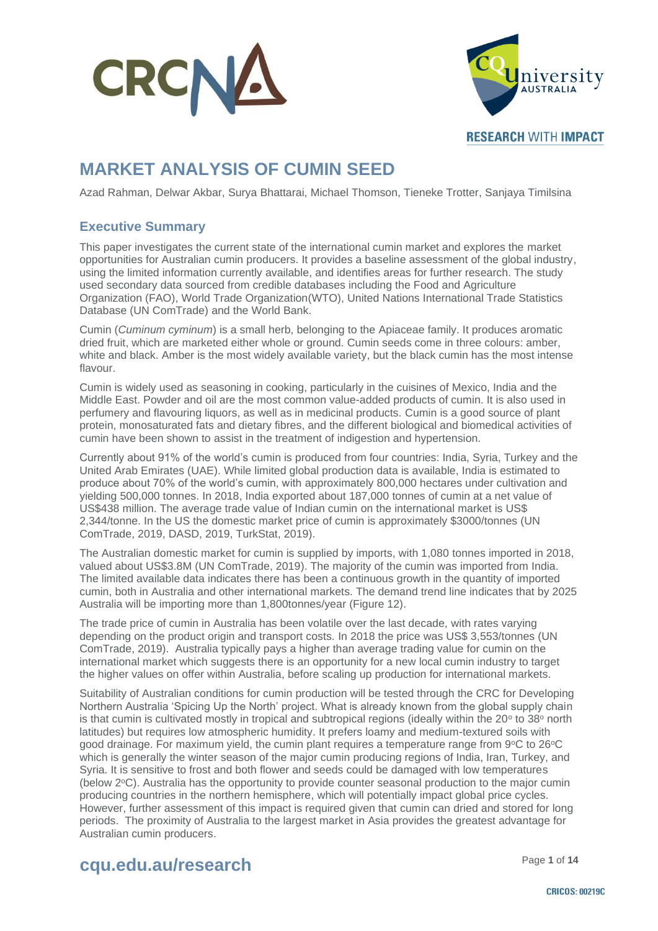



**RESEARCH WITH IMPACT** 

### **MARKET ANALYSIS OF CUMIN SEED**

Azad Rahman, Delwar Akbar, Surya Bhattarai, Michael Thomson, Tieneke Trotter, Sanjaya Timilsina

### **Executive Summary**

This paper investigates the current state of the international cumin market and explores the market opportunities for Australian cumin producers. It provides a baseline assessment of the global industry, using the limited information currently available, and identifies areas for further research. The study used secondary data sourced from credible databases including the Food and Agriculture Organization (FAO), World Trade Organization(WTO), United Nations International Trade Statistics Database (UN ComTrade) and the World Bank.

Cumin (*Cuminum cyminum*) is a small herb, belonging to the Apiaceae family. It produces aromatic dried fruit, which are marketed either whole or ground. Cumin seeds come in three colours: amber, white and black. Amber is the most widely available variety, but the black cumin has the most intense flavour.

Cumin is widely used as seasoning in cooking, particularly in the cuisines of Mexico, India and the Middle East. Powder and oil are the most common value-added products of cumin. It is also used in perfumery and flavouring liquors, as well as in medicinal products. Cumin is a good source of plant protein, monosaturated fats and dietary fibres, and the different biological and biomedical activities of cumin have been shown to assist in the treatment of indigestion and hypertension.

Currently about 91% of the world's cumin is produced from four countries: India, Syria, Turkey and the United Arab Emirates (UAE). While limited global production data is available, India is estimated to produce about 70% of the world's cumin, with approximately 800,000 hectares under cultivation and yielding 500,000 tonnes. In 2018, India exported about 187,000 tonnes of cumin at a net value of US\$438 million. The average trade value of Indian cumin on the international market is US\$ 2,344/tonne. In the US the domestic market price of cumin is approximately \$3000/tonnes (UN ComTrade, 2019, DASD, 2019, TurkStat, 2019).

The Australian domestic market for cumin is supplied by imports, with 1,080 tonnes imported in 2018, valued about US\$3.8M (UN ComTrade, 2019). The majority of the cumin was imported from India. The limited available data indicates there has been a continuous growth in the quantity of imported cumin, both in Australia and other international markets. The demand trend line indicates that by 2025 Australia will be importing more than 1,800tonnes/year (Figure 12).

The trade price of cumin in Australia has been volatile over the last decade, with rates varying depending on the product origin and transport costs. In 2018 the price was US\$ 3,553/tonnes (UN ComTrade, 2019). Australia typically pays a higher than average trading value for cumin on the international market which suggests there is an opportunity for a new local cumin industry to target the higher values on offer within Australia, before scaling up production for international markets.

Suitability of Australian conditions for cumin production will be tested through the CRC for Developing Northern Australia 'Spicing Up the North' project. What is already known from the global supply chain is that cumin is cultivated mostly in tropical and subtropical regions (ideally within the  $20^{\circ}$  to  $38^{\circ}$  north latitudes) but requires low atmospheric humidity. It prefers loamy and medium-textured soils with good drainage. For maximum yield, the cumin plant requires a temperature range from 9°C to 26°C which is generally the winter season of the major cumin producing regions of India, Iran, Turkey, and Syria. It is sensitive to frost and both flower and seeds could be damaged with low temperatures (below  $2^{\circ}$ C). Australia has the opportunity to provide counter seasonal production to the major cumin producing countries in the northern hemisphere, which will potentially impact global price cycles. However, further assessment of this impact is required given that cumin can dried and stored for long periods. The proximity of Australia to the largest market in Asia provides the greatest advantage for Australian cumin producers.

### Page **<sup>1</sup>** of **<sup>14</sup> cqu.edu.au/research**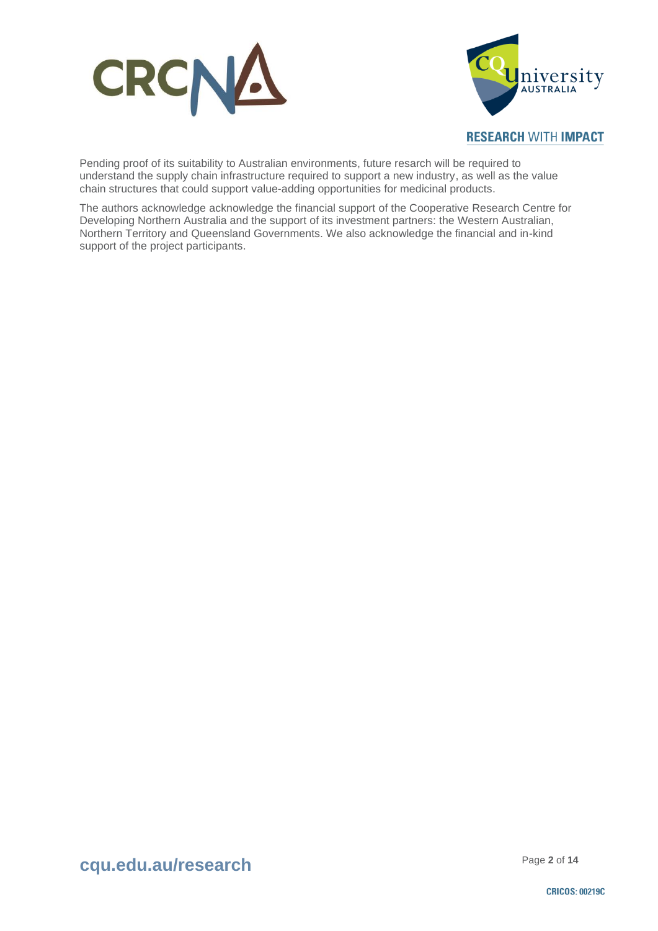



#### **RESEARCH WITH IMPACT**

Pending proof of its suitability to Australian environments, future resarch will be required to understand the supply chain infrastructure required to support a new industry, as well as the value chain structures that could support value-adding opportunities for medicinal products.

The authors acknowledge acknowledge the financial support of the Cooperative Research Centre for Developing Northern Australia and the support of its investment partners: the Western Australian, Northern Territory and Queensland Governments. We also acknowledge the financial and in-kind support of the project participants.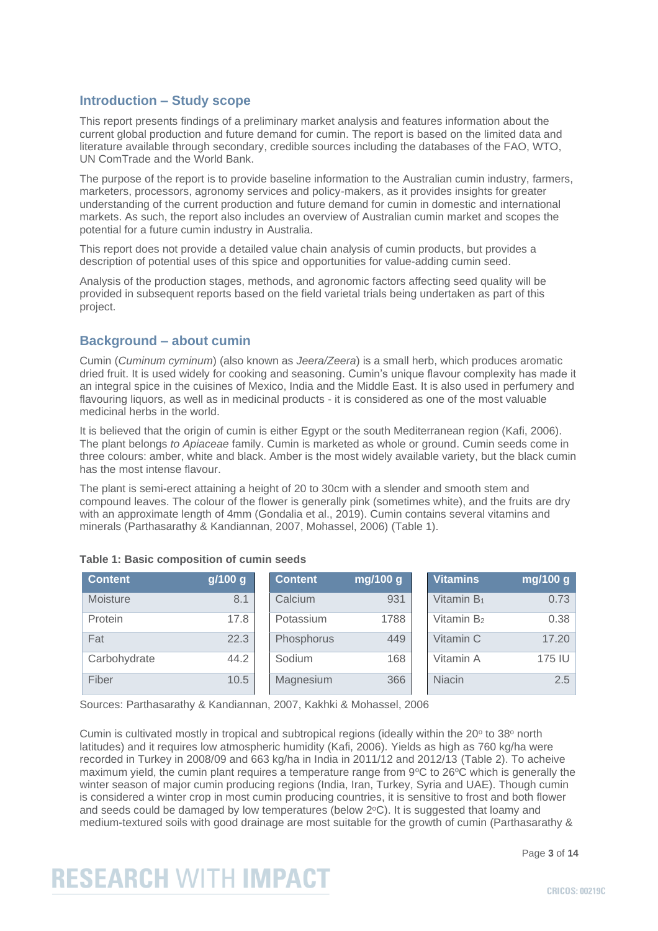### **Introduction – Study scope**

This report presents findings of a preliminary market analysis and features information about the current global production and future demand for cumin. The report is based on the limited data and literature available through secondary, credible sources including the databases of the FAO, WTO, UN ComTrade and the World Bank.

The purpose of the report is to provide baseline information to the Australian cumin industry, farmers, marketers, processors, agronomy services and policy-makers, as it provides insights for greater understanding of the current production and future demand for cumin in domestic and international markets. As such, the report also includes an overview of Australian cumin market and scopes the potential for a future cumin industry in Australia.

This report does not provide a detailed value chain analysis of cumin products, but provides a description of potential uses of this spice and opportunities for value-adding cumin seed.

Analysis of the production stages, methods, and agronomic factors affecting seed quality will be provided in subsequent reports based on the field varietal trials being undertaken as part of this project.

### **Background – about cumin**

Cumin (*Cuminum cyminum*) (also known as *Jeera/Zeera*) is a small herb, which produces aromatic dried fruit. It is used widely for cooking and seasoning. Cumin's unique flavour complexity has made it an integral spice in the cuisines of Mexico, India and the Middle East. It is also used in perfumery and flavouring liquors, as well as in medicinal products - it is considered as one of the most valuable medicinal herbs in the world.

It is believed that the origin of cumin is either Egypt or the south Mediterranean region (Kafi, 2006). The plant belongs *to Apiaceae* family. Cumin is marketed as whole or ground. Cumin seeds come in three colours: amber, white and black. Amber is the most widely available variety, but the black cumin has the most intense flavour.

The plant is semi-erect attaining a height of 20 to 30cm with a slender and smooth stem and compound leaves. The colour of the flower is generally pink (sometimes white), and the fruits are dry with an approximate length of 4mm (Gondalia et al., 2019). Cumin contains several vitamins and minerals (Parthasarathy & Kandiannan, 2007, Mohassel, 2006) (Table 1).

| <b>Content</b> | g/100 g | <b>Content</b> | mg/100 g | <b>Vitamins</b> | mg/100 g |
|----------------|---------|----------------|----------|-----------------|----------|
| Moisture       | 8.1     | Calcium        | 931      | Vitamin $B_1$   | 0.73     |
| Protein        | 17.8    | Potassium      | 1788     | Vitamin $B_2$   | 0.38     |
| Fat            | 22.3    | Phosphorus     | 449      | Vitamin C       | 17.20    |
| Carbohydrate   | 44.2    | Sodium         | 168      | Vitamin A       | 175 IU   |
| Fiber          | 10.5    | Magnesium      | 366      | <b>Niacin</b>   | 2.5      |

| Table 1: Basic composition of cumin seeds |  |  |  |  |  |  |  |  |
|-------------------------------------------|--|--|--|--|--|--|--|--|
|-------------------------------------------|--|--|--|--|--|--|--|--|

Sources: Parthasarathy & Kandiannan, 2007, Kakhki & Mohassel, 2006

Cumin is cultivated mostly in tropical and subtropical regions (ideally within the 20° to 38° north latitudes) and it requires low atmospheric humidity (Kafi, 2006). Yields as high as 760 kg/ha were recorded in Turkey in 2008/09 and 663 kg/ha in India in 2011/12 and 2012/13 (Table 2). To acheive maximum yield, the cumin plant requires a temperature range from  $9^{\circ}C$  to  $26^{\circ}C$  which is generally the winter season of major cumin producing regions (India, Iran, Turkey, Syria and UAE). Though cumin is considered a winter crop in most cumin producing countries, it is sensitive to frost and both flower and seeds could be damaged by low temperatures (below  $2^{\circ}C$ ). It is suggested that loamy and medium-textured soils with good drainage are most suitable for the growth of cumin (Parthasarathy &

Page **3** of **14**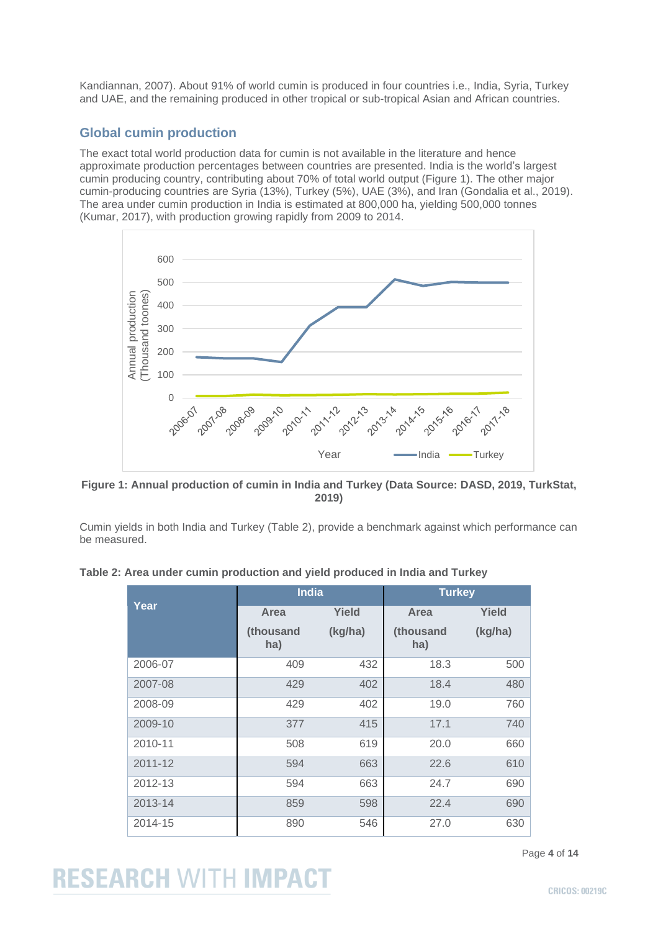Kandiannan, 2007). About 91% of world cumin is produced in four countries i.e., India, Syria, Turkey and UAE, and the remaining produced in other tropical or sub-tropical Asian and African countries.

### **Global cumin production**

The exact total world production data for cumin is not available in the literature and hence approximate production percentages between countries are presented. India is the world's largest cumin producing country, contributing about 70% of total world output (Figure 1). The other major cumin-producing countries are Syria (13%), Turkey (5%), UAE (3%), and Iran (Gondalia et al., 2019). The area under cumin production in India is estimated at 800,000 ha, yielding 500,000 tonnes (Kumar, 2017), with production growing rapidly from 2009 to 2014.



**Figure 1: Annual production of cumin in India and Turkey (Data Source: DASD, 2019, TurkStat, 2019)**

Cumin yields in both India and Turkey (Table 2), provide a benchmark against which performance can be measured.

| Table 2: Area under cumin production and yield produced in India and Turkey |  |  |  |
|-----------------------------------------------------------------------------|--|--|--|
|-----------------------------------------------------------------------------|--|--|--|

|             | <b>India</b>     |         | <b>Turkey</b>    |         |
|-------------|------------------|---------|------------------|---------|
| Year        | Area             | Yield   | Area             | Yield   |
|             | (thousand<br>ha) | (kg/ha) | (thousand<br>ha) | (kg/ha) |
| 2006-07     | 409              | 432     | 18.3             | 500     |
| 2007-08     | 429              | 402     | 18.4             | 480     |
| 2008-09     | 429              | 402     | 19.0             | 760     |
| 2009-10     | 377              | 415     | 17.1             | 740     |
| 2010-11     | 508              | 619     | 20.0             | 660     |
| $2011 - 12$ | 594              | 663     | 22.6             | 610     |
| 2012-13     | 594              | 663     | 24.7             | 690     |
| 2013-14     | 859              | 598     | 22.4             | 690     |
| 2014-15     | 890              | 546     | 27.0             | 630     |

Page **4** of **14**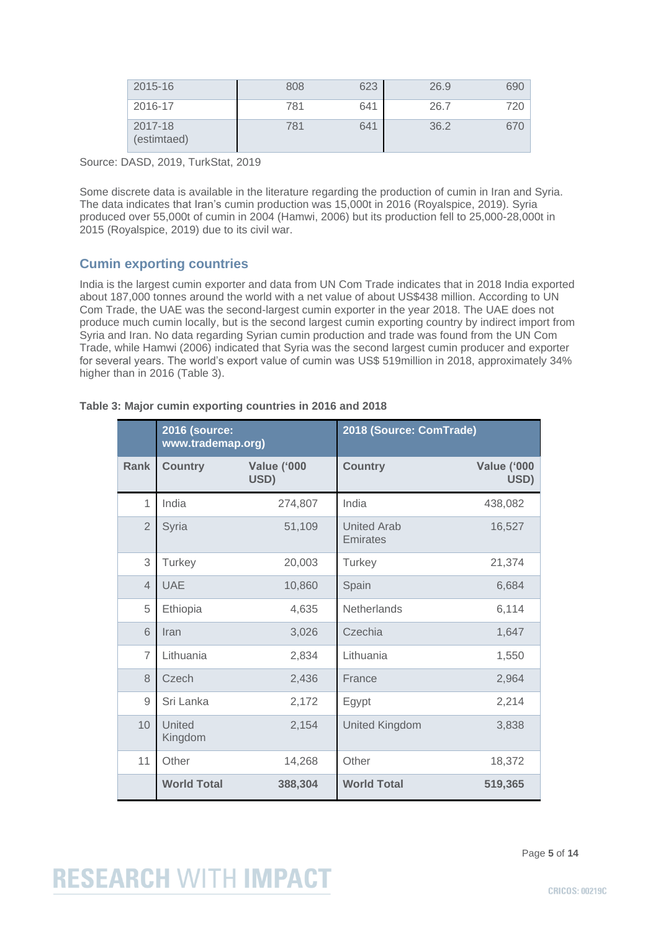| 2015-16                | 808 | 623 | 26.9 | 690 |
|------------------------|-----|-----|------|-----|
| 2016-17                | 781 | 641 | 26.7 | 720 |
| 2017-18<br>(estimtaed) | 781 | 641 | 36.2 | 670 |

Source: DASD, 2019, TurkStat, 2019

Some discrete data is available in the literature regarding the production of cumin in Iran and Syria. The data indicates that Iran's cumin production was 15,000t in 2016 (Royalspice, 2019). Syria produced over 55,000t of cumin in 2004 (Hamwi, 2006) but its production fell to 25,000-28,000t in 2015 (Royalspice, 2019) due to its civil war.

### **Cumin exporting countries**

India is the largest cumin exporter and data from UN Com Trade indicates that in 2018 India exported about 187,000 tonnes around the world with a net value of about US\$438 million. According to UN Com Trade, the UAE was the second-largest cumin exporter in the year 2018. The UAE does not produce much cumin locally, but is the second largest cumin exporting country by indirect import from Syria and Iran. No data regarding Syrian cumin production and trade was found from the UN Com Trade, while Hamwi (2006) indicated that Syria was the second largest cumin producer and exporter for several years. The world's export value of cumin was US\$ 519million in 2018, approximately 34% higher than in 2016 (Table 3).

|                | <b>2016 (source:</b><br>www.trademap.org) |                            | 2018 (Source: ComTrade)        |                            |  |
|----------------|-------------------------------------------|----------------------------|--------------------------------|----------------------------|--|
| Rank           | <b>Country</b>                            | <b>Value ('000</b><br>USD) | <b>Country</b>                 | <b>Value ('000</b><br>USD) |  |
| $\mathbf{1}$   | India                                     | 274,807                    | India                          | 438,082                    |  |
| $\overline{2}$ | Syria                                     | 51,109                     | <b>United Arab</b><br>Emirates | 16,527                     |  |
| 3              | Turkey                                    | 20,003                     | Turkey                         | 21,374                     |  |
| $\overline{4}$ | <b>UAE</b>                                | 10,860                     | Spain                          | 6,684                      |  |
| 5              | Ethiopia                                  | 4,635                      | <b>Netherlands</b>             | 6,114                      |  |
| 6              | Iran                                      | 3,026                      | Czechia                        | 1,647                      |  |
| $\overline{7}$ | Lithuania                                 | 2,834                      | Lithuania                      | 1,550                      |  |
| 8              | Czech                                     | 2,436                      | France                         | 2,964                      |  |
| 9              | Sri Lanka                                 | 2,172                      | Egypt                          | 2,214                      |  |
| 10             | United<br>Kingdom                         | 2,154                      | <b>United Kingdom</b>          | 3,838                      |  |
| 11             | Other                                     | 14,268                     | Other                          | 18,372                     |  |
|                | <b>World Total</b>                        | 388,304                    | <b>World Total</b>             | 519,365                    |  |

#### **Table 3: Major cumin exporting countries in 2016 and 2018**

Page **5** of **14**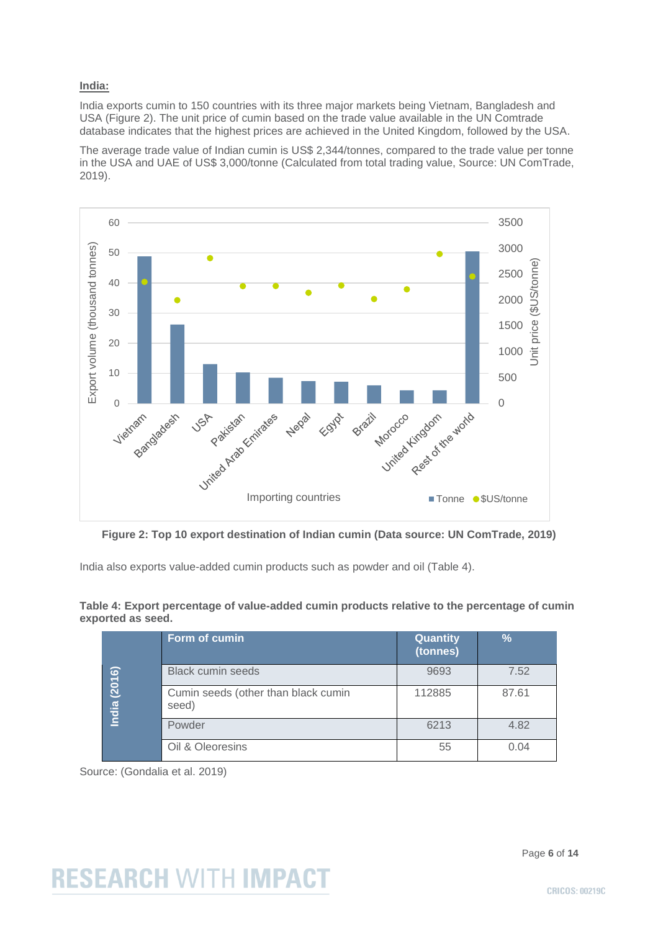#### **India:**

India exports cumin to 150 countries with its three major markets being Vietnam, Bangladesh and USA (Figure 2). The unit price of cumin based on the trade value available in the UN Comtrade database indicates that the highest prices are achieved in the United Kingdom, followed by the USA.

The average trade value of Indian cumin is US\$ 2,344/tonnes, compared to the trade value per tonne in the USA and UAE of US\$ 3,000/tonne (Calculated from total trading value, Source: UN ComTrade, 2019).



**Figure 2: Top 10 export destination of Indian cumin (Data source: UN ComTrade, 2019)**

India also exports value-added cumin products such as powder and oil (Table 4).

#### **Table 4: Export percentage of value-added cumin products relative to the percentage of cumin exported as seed.**

|        | Form of cumin                                | Quantity<br>(tonnes) | %     |
|--------|----------------------------------------------|----------------------|-------|
| (2016) | <b>Black cumin seeds</b>                     | 9693                 | 7.52  |
| India  | Cumin seeds (other than black cumin<br>seed) | 112885               | 87.61 |
|        | Powder                                       | 6213                 | 4.82  |
|        | Oil & Oleoresins                             | 55                   | 0.04  |

Source: (Gondalia et al. 2019)

Page **6** of **14**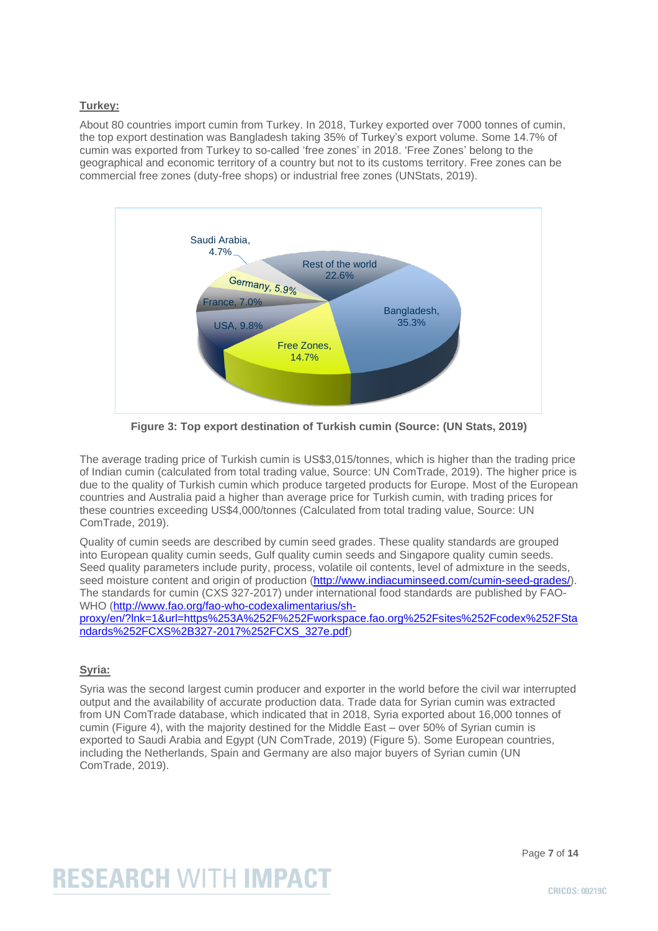#### **Turkey:**

About 80 countries import cumin from Turkey. In 2018, Turkey exported over 7000 tonnes of cumin, the top export destination was Bangladesh taking 35% of Turkey's export volume. Some 14.7% of cumin was exported from Turkey to so-called 'free zones' in 2018. 'Free Zones' belong to the geographical and economic territory of a country but not to its customs territory. Free zones can be commercial free zones (duty-free shops) or industrial free zones (UNStats, 2019).



**Figure 3: Top export destination of Turkish cumin (Source: (UN Stats, 2019)**

The average trading price of Turkish cumin is US\$3,015/tonnes, which is higher than the trading price of Indian cumin (calculated from total trading value, Source: UN ComTrade, 2019). The higher price is due to the quality of Turkish cumin which produce targeted products for Europe. Most of the European countries and Australia paid a higher than average price for Turkish cumin, with trading prices for these countries exceeding US\$4,000/tonnes (Calculated from total trading value, Source: UN ComTrade, 2019).

Quality of cumin seeds are described by cumin seed grades. These quality standards are grouped into European quality cumin seeds, Gulf quality cumin seeds and Singapore quality cumin seeds. Seed quality parameters include purity, process, volatile oil contents, level of admixture in the seeds, seed moisture content and origin of production [\(http://www.indiacuminseed.com/cumin-seed-grades/\)](http://www.indiacuminseed.com/cumin-seed-grades/). The standards for cumin (CXS 327-2017) under international food standards are published by FAO-WHO [\(http://www.fao.org/fao-who-codexalimentarius/sh-](http://www.fao.org/fao-who-codexalimentarius/sh-proxy/en/?lnk=1&url=https%253A%252F%252Fworkspace.fao.org%252Fsites%252Fcodex%252FStandards%252FCXS%2B327-2017%252FCXS_327e.pdf)

[proxy/en/?lnk=1&url=https%253A%252F%252Fworkspace.fao.org%252Fsites%252Fcodex%252FSta](http://www.fao.org/fao-who-codexalimentarius/sh-proxy/en/?lnk=1&url=https%253A%252F%252Fworkspace.fao.org%252Fsites%252Fcodex%252FStandards%252FCXS%2B327-2017%252FCXS_327e.pdf) [ndards%252FCXS%2B327-2017%252FCXS\\_327e.pdf\)](http://www.fao.org/fao-who-codexalimentarius/sh-proxy/en/?lnk=1&url=https%253A%252F%252Fworkspace.fao.org%252Fsites%252Fcodex%252FStandards%252FCXS%2B327-2017%252FCXS_327e.pdf)

#### **Syria:**

Syria was the second largest cumin producer and exporter in the world before the civil war interrupted output and the availability of accurate production data. Trade data for Syrian cumin was extracted from UN ComTrade database, which indicated that in 2018, Syria exported about 16,000 tonnes of cumin (Figure 4), with the majority destined for the Middle East – over 50% of Syrian cumin is exported to Saudi Arabia and Egypt (UN ComTrade, 2019) (Figure 5). Some European countries, including the Netherlands, Spain and Germany are also major buyers of Syrian cumin (UN ComTrade, 2019).

Page **7** of **14**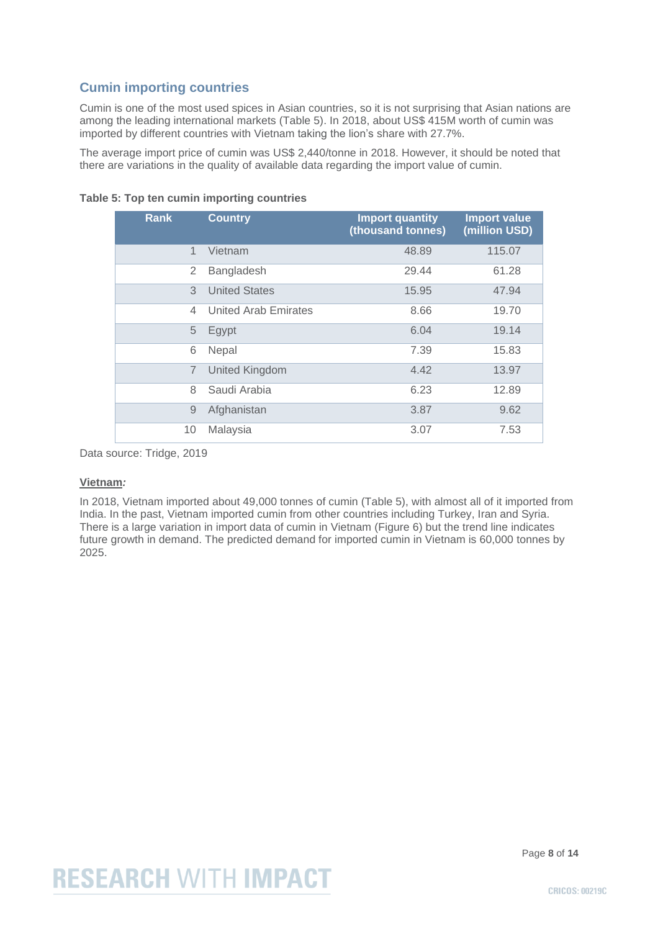### **Cumin importing countries**

Cumin is one of the most used spices in Asian countries, so it is not surprising that Asian nations are among the leading international markets (Table 5). In 2018, about US\$ 415M worth of cumin was imported by different countries with Vietnam taking the lion's share with 27.7%.

The average import price of cumin was US\$ 2,440/tonne in 2018. However, it should be noted that there are variations in the quality of available data regarding the import value of cumin.

| <b>Rank</b>    | <b>Country</b>        | <b>Import quantity</b><br>(thousand tonnes) | <b>Import value</b><br>(million USD) |
|----------------|-----------------------|---------------------------------------------|--------------------------------------|
| 1              | Vietnam               | 48.89                                       | 115.07                               |
| 2              | Bangladesh            | 29.44                                       | 61.28                                |
| 3              | <b>United States</b>  | 15.95                                       | 47.94                                |
| 4              | United Arab Emirates  | 8.66                                        | 19.70                                |
| 5              | Egypt                 | 6.04                                        | 19.14                                |
| 6              | Nepal                 | 7.39                                        | 15.83                                |
| $\overline{7}$ | <b>United Kingdom</b> | 4.42                                        | 13.97                                |
| 8              | Saudi Arabia          | 6.23                                        | 12.89                                |
| 9              | Afghanistan           | 3.87                                        | 9.62                                 |
| 10             | Malaysia              | 3.07                                        | 7.53                                 |

**Table 5: Top ten cumin importing countries**

Data source: Tridge, 2019

#### **Vietnam***:*

In 2018, Vietnam imported about 49,000 tonnes of cumin (Table 5), with almost all of it imported from India. In the past, Vietnam imported cumin from other countries including Turkey, Iran and Syria. There is a large variation in import data of cumin in Vietnam (Figure 6) but the trend line indicates future growth in demand. The predicted demand for imported cumin in Vietnam is 60,000 tonnes by 2025.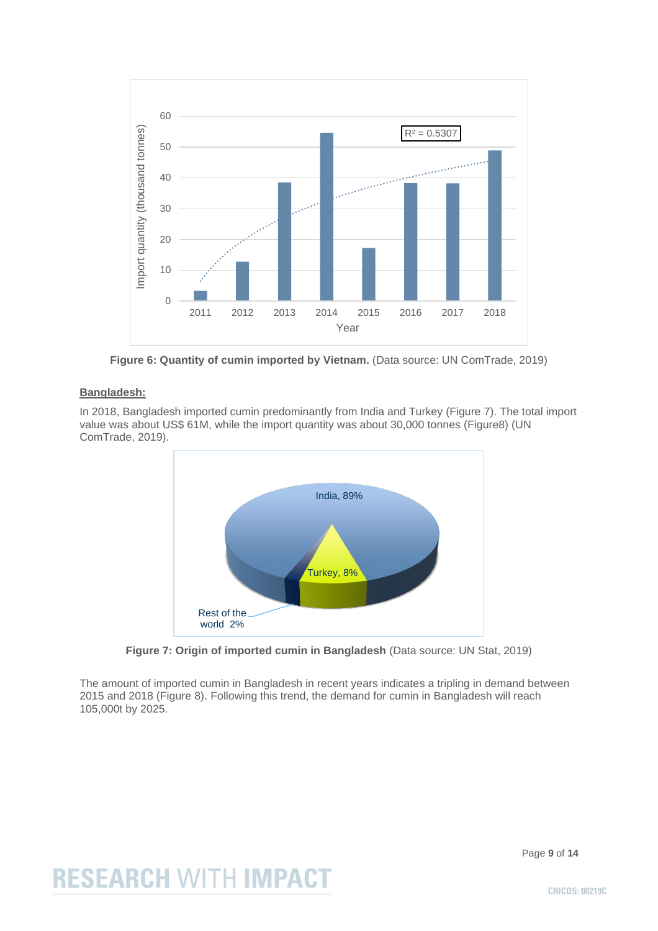

**Figure 6: Quantity of cumin imported by Vietnam.** (Data source: UN ComTrade, 2019)

#### **Bangladesh:**

In 2018, Bangladesh imported cumin predominantly from India and Turkey (Figure 7). The total import value was about US\$ 61M, while the import quantity was about 30,000 tonnes (Figure8) (UN ComTrade, 2019).



**Figure 7: Origin of imported cumin in Bangladesh** (Data source: UN Stat, 2019)

The amount of imported cumin in Bangladesh in recent years indicates a tripling in demand between 2015 and 2018 (Figure 8). Following this trend, the demand for cumin in Bangladesh will reach 105,000t by 2025.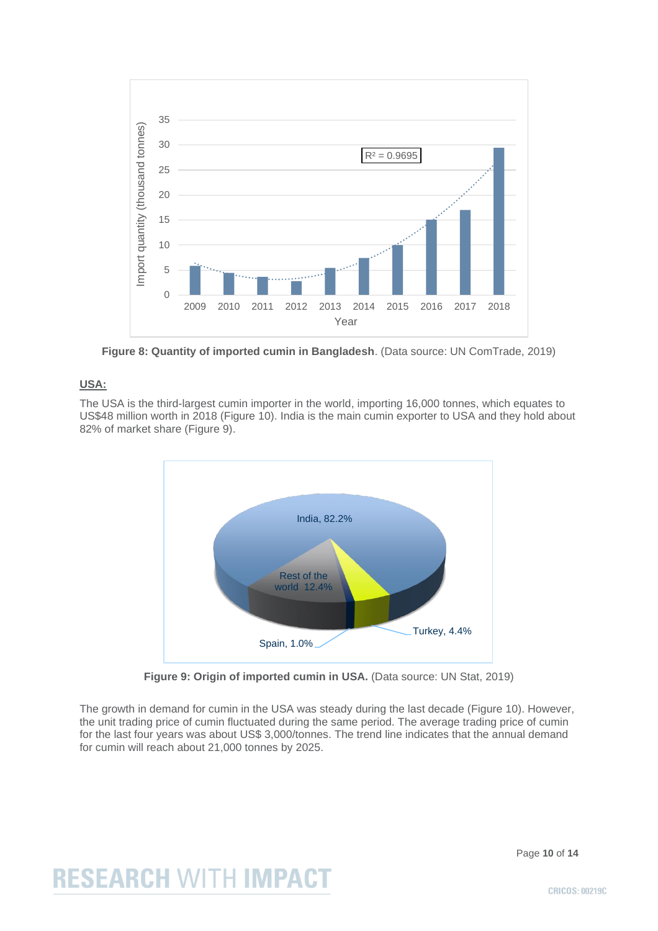

**Figure 8: Quantity of imported cumin in Bangladesh**. (Data source: UN ComTrade, 2019)

#### **USA:**

The USA is the third-largest cumin importer in the world, importing 16,000 tonnes, which equates to US\$48 million worth in 2018 (Figure 10). India is the main cumin exporter to USA and they hold about 82% of market share (Figure 9).



**Figure 9: Origin of imported cumin in USA.** (Data source: UN Stat, 2019)

The growth in demand for cumin in the USA was steady during the last decade (Figure 10). However, the unit trading price of cumin fluctuated during the same period. The average trading price of cumin for the last four years was about US\$ 3,000/tonnes. The trend line indicates that the annual demand for cumin will reach about 21,000 tonnes by 2025.

Page **10** of **14**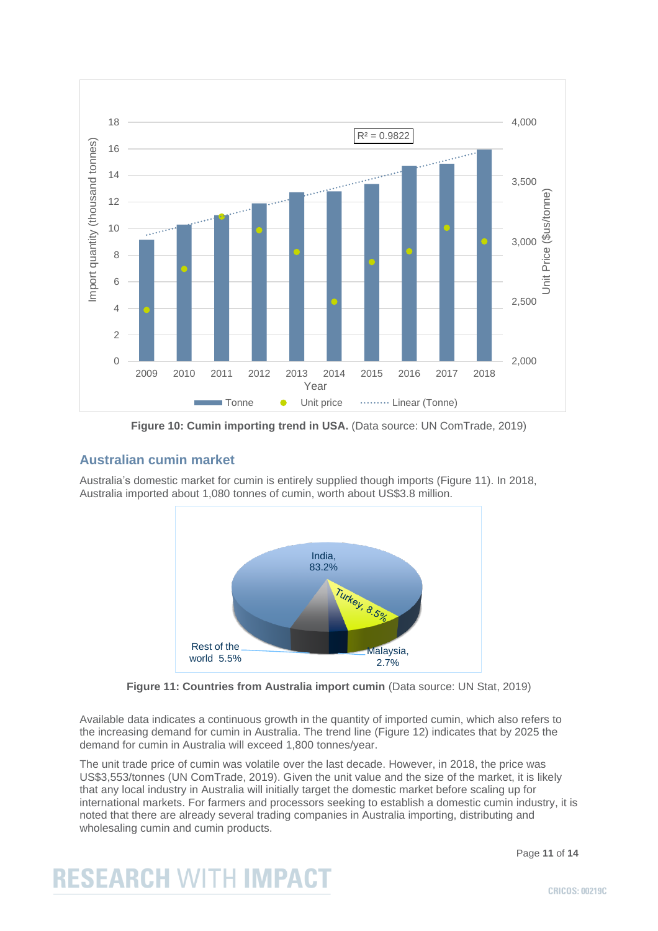

**Figure 10: Cumin importing trend in USA.** (Data source: UN ComTrade, 2019)

### **Australian cumin market**

Australia's domestic market for cumin is entirely supplied though imports (Figure 11). In 2018, Australia imported about 1,080 tonnes of cumin, worth about US\$3.8 million.



**Figure 11: Countries from Australia import cumin** (Data source: UN Stat, 2019)

Available data indicates a continuous growth in the quantity of imported cumin, which also refers to the increasing demand for cumin in Australia. The trend line (Figure 12) indicates that by 2025 the demand for cumin in Australia will exceed 1,800 tonnes/year.

The unit trade price of cumin was volatile over the last decade. However, in 2018, the price was US\$3,553/tonnes (UN ComTrade, 2019). Given the unit value and the size of the market, it is likely that any local industry in Australia will initially target the domestic market before scaling up for international markets. For farmers and processors seeking to establish a domestic cumin industry, it is noted that there are already several trading companies in Australia importing, distributing and wholesaling cumin and cumin products.

Page **11** of **14**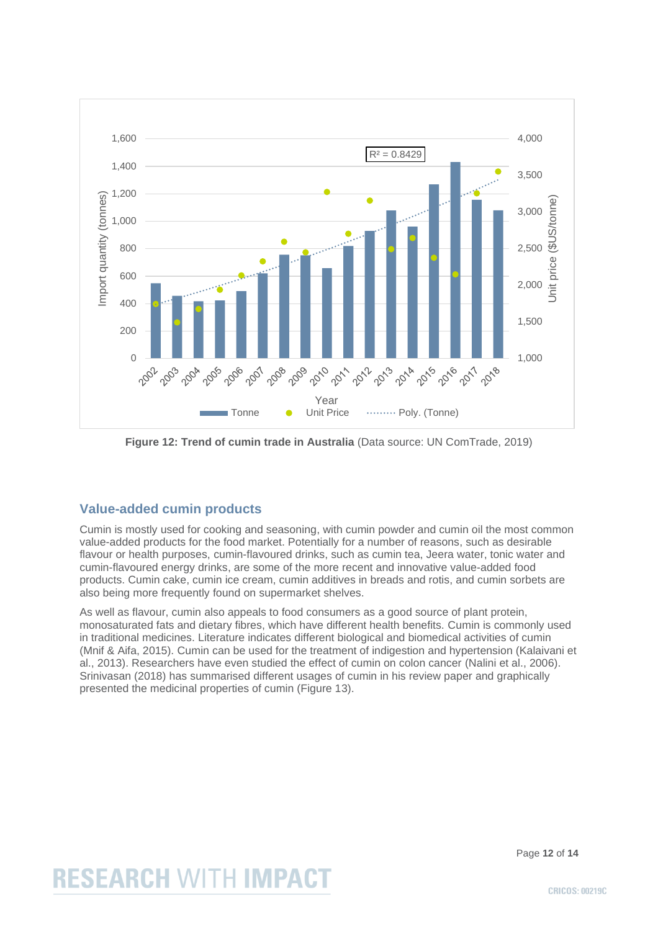

**Figure 12: Trend of cumin trade in Australia** (Data source: UN ComTrade, 2019)

### **Value-added cumin products**

Cumin is mostly used for cooking and seasoning, with cumin powder and cumin oil the most common value-added products for the food market. Potentially for a number of reasons, such as desirable flavour or health purposes, cumin-flavoured drinks, such as cumin tea, Jeera water, tonic water and cumin-flavoured energy drinks, are some of the more recent and innovative value-added food products. Cumin cake, cumin ice cream, cumin additives in breads and rotis, and cumin sorbets are also being more frequently found on supermarket shelves.

As well as flavour, cumin also appeals to food consumers as a good source of plant protein, monosaturated fats and dietary fibres, which have different health benefits. Cumin is commonly used in traditional medicines. Literature indicates different biological and biomedical activities of cumin (Mnif & Aifa, 2015). Cumin can be used for the treatment of indigestion and hypertension (Kalaivani et al., 2013). Researchers have even studied the effect of cumin on colon cancer (Nalini et al., 2006). Srinivasan (2018) has summarised different usages of cumin in his review paper and graphically presented the medicinal properties of cumin (Figure 13).

Page **12** of **14**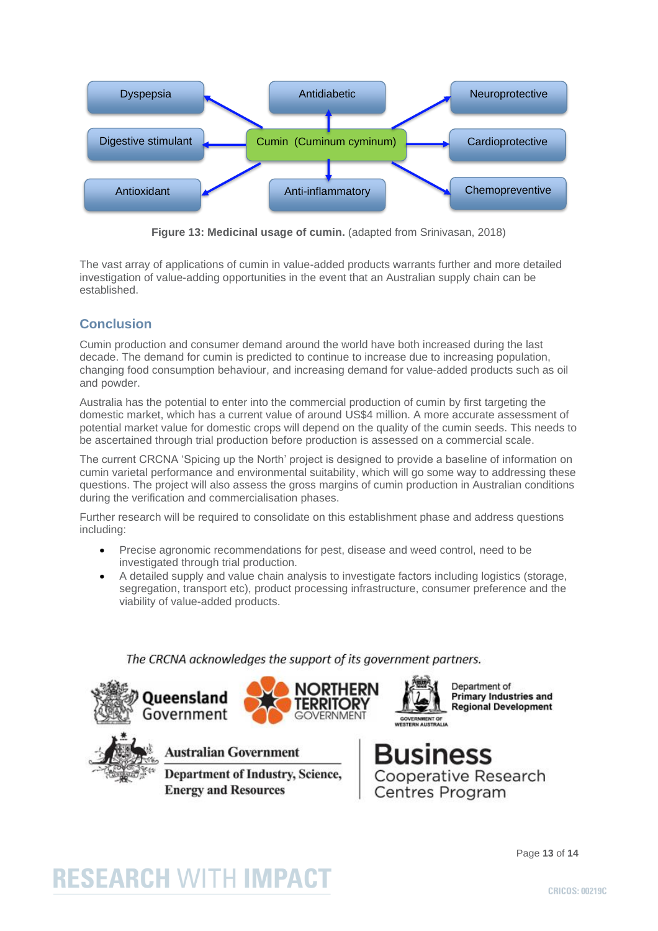

**Figure 13: Medicinal usage of cumin.** (adapted from Srinivasan, 2018)

The vast array of applications of cumin in value-added products warrants further and more detailed investigation of value-adding opportunities in the event that an Australian supply chain can be established.

### **Conclusion**

Cumin production and consumer demand around the world have both increased during the last decade. The demand for cumin is predicted to continue to increase due to increasing population, changing food consumption behaviour, and increasing demand for value-added products such as oil and powder.

Australia has the potential to enter into the commercial production of cumin by first targeting the domestic market, which has a current value of around US\$4 million. A more accurate assessment of potential market value for domestic crops will depend on the quality of the cumin seeds. This needs to be ascertained through trial production before production is assessed on a commercial scale.

The current CRCNA 'Spicing up the North' project is designed to provide a baseline of information on cumin varietal performance and environmental suitability, which will go some way to addressing these questions. The project will also assess the gross margins of cumin production in Australian conditions during the verification and commercialisation phases.

Further research will be required to consolidate on this establishment phase and address questions including:

- Precise agronomic recommendations for pest, disease and weed control, need to be investigated through trial production.
- A detailed supply and value chain analysis to investigate factors including logistics (storage, segregation, transport etc), product processing infrastructure, consumer preference and the viability of value-added products.

### The CRCNA acknowledges the support of its government partners.





**Australian Government** 

**Department of Industry, Science, Energy and Resources** 

**Primary Industries and Regional Development** 



Page **13** of **14**

# **RESEARCH WITH IMPACT**

**CRICOS: 00219C**